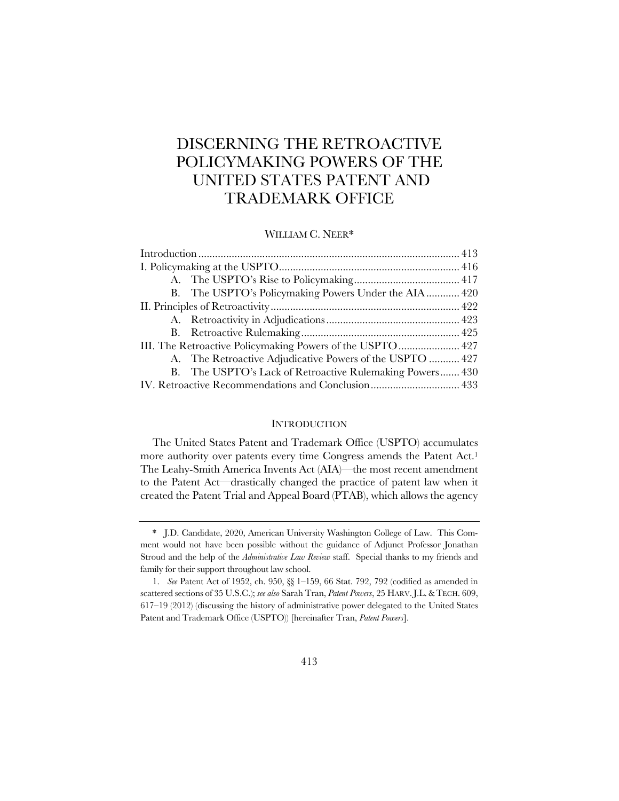# DISCERNING THE RETROACTIVE POLICYMAKING POWERS OF THE UNITED STATES PATENT AND TRADEMARK OFFICE

## WILLIAM C. NEER\*

| B. The USPTO's Policymaking Powers Under the AIA 420      |
|-----------------------------------------------------------|
|                                                           |
|                                                           |
|                                                           |
| III. The Retroactive Policymaking Powers of the USPTO 427 |
| A. The Retroactive Adjudicative Powers of the USPTO  427  |
| B. The USPTO's Lack of Retroactive Rulemaking Powers 430  |
| IV. Retroactive Recommendations and Conclusion 433        |

## **INTRODUCTION**

The United States Patent and Trademark Office (USPTO) accumulates more authority over patents every time Congress amends the Patent Act.<sup>1</sup> The Leahy-Smith America Invents Act (AIA)—the most recent amendment to the Patent Act—drastically changed the practice of patent law when it created the Patent Trial and Appeal Board (PTAB), which allows the agency

<sup>\*</sup> J.D. Candidate, 2020, American University Washington College of Law. This Comment would not have been possible without the guidance of Adjunct Professor Jonathan Stroud and the help of the *Administrative Law Review* staff. Special thanks to my friends and family for their support throughout law school.

<sup>1.</sup> *See* Patent Act of 1952, ch. 950, §§ 1–159, 66 Stat. 792, 792 (codified as amended in scattered sections of 35 U.S.C.); *see also* Sarah Tran, *Patent Powers*, 25 HARV.J.L.&TECH. 609, 617–19 (2012) (discussing the history of administrative power delegated to the United States Patent and Trademark Office (USPTO)) [hereinafter Tran, *Patent Powers*].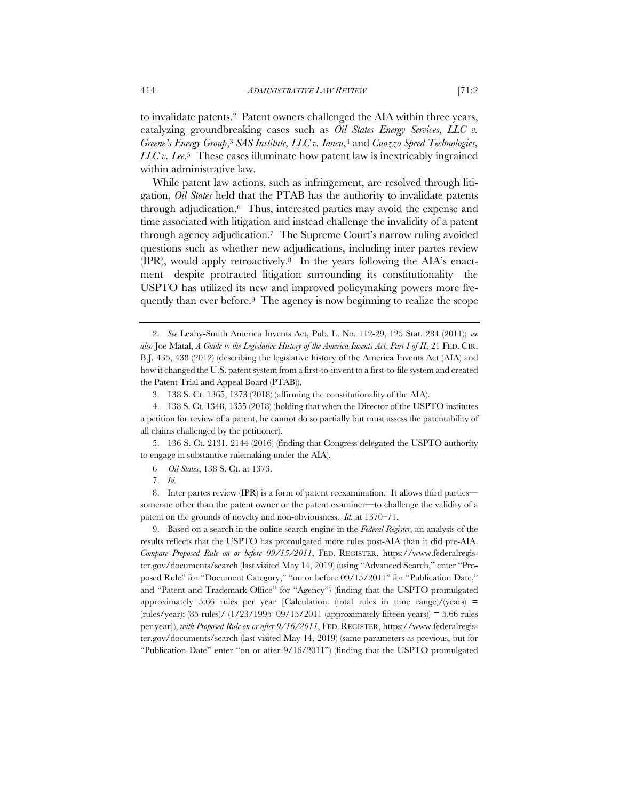to invalidate patents.2 Patent owners challenged the AIA within three years, catalyzing groundbreaking cases such as *Oil States Energy Services, LLC v. Greene's Energy Group*,3 *SAS Institute, LLC v. Iancu*,4 and *Cuozzo Speed Technologies, LLC v. Lee*.5 These cases illuminate how patent law is inextricably ingrained within administrative law.

While patent law actions, such as infringement, are resolved through litigation, *Oil States* held that the PTAB has the authority to invalidate patents through adjudication.6 Thus, interested parties may avoid the expense and time associated with litigation and instead challenge the invalidity of a patent through agency adjudication.7 The Supreme Court's narrow ruling avoided questions such as whether new adjudications, including inter partes review (IPR), would apply retroactively.8 In the years following the AIA's enactment—despite protracted litigation surrounding its constitutionality—the USPTO has utilized its new and improved policymaking powers more frequently than ever before.9 The agency is now beginning to realize the scope

5. 136 S. Ct. 2131, 2144 (2016) (finding that Congress delegated the USPTO authority to engage in substantive rulemaking under the AIA).

8. Inter partes review (IPR) is a form of patent reexamination. It allows third parties someone other than the patent owner or the patent examiner—to challenge the validity of a patent on the grounds of novelty and non-obviousness. *Id.* at 1370–71.

9. Based on a search in the online search engine in the *Federal Register*, an analysis of the results reflects that the USPTO has promulgated more rules post-AIA than it did pre-AIA. *Compare Proposed Rule on or before 09/15/2011*, FED. REGISTER, https://www.federalregister.gov/documents/search (last visited May 14, 2019) (using "Advanced Search," enter "Proposed Rule" for "Document Category," "on or before 09/15/2011" for "Publication Date," and "Patent and Trademark Office" for "Agency") (finding that the USPTO promulgated approximately 5.66 rules per year [Calculation: (total rules in time range)/(years)  $=$  $(\text{rules/year})$ ;  $(85 \text{ rules})$   $(1/23/1995-09/15/2011$  (approximately fifteen years)) = 5.66 rules per year]), *with Proposed Rule on or after 9/16/2011*, FED. REGISTER, https://www.federalregister.gov/documents/search (last visited May 14, 2019) (same parameters as previous, but for "Publication Date" enter "on or after 9/16/2011") (finding that the USPTO promulgated

<sup>2.</sup> *See* Leahy-Smith America Invents Act, Pub. L. No. 112-29, 125 Stat. 284 (2011); *see also* Joe Matal, *A Guide to the Legislative History of the America Invents Act: Part I of II*, 21 FED. CIR. B.J. 435, 438 (2012) (describing the legislative history of the America Invents Act (AIA) and how it changed the U.S. patent system from a first-to-invent to a first-to-file system and created the Patent Trial and Appeal Board (PTAB)).

<sup>3.</sup> 138 S. Ct. 1365, 1373 (2018) (affirming the constitutionality of the AIA).

<sup>4.</sup> 138 S. Ct. 1348, 1355 (2018) (holding that when the Director of the USPTO institutes a petition for review of a patent, he cannot do so partially but must assess the patentability of all claims challenged by the petitioner).

<sup>6</sup> *Oil States*, 138 S. Ct. at 1373.

<sup>7.</sup> *Id.*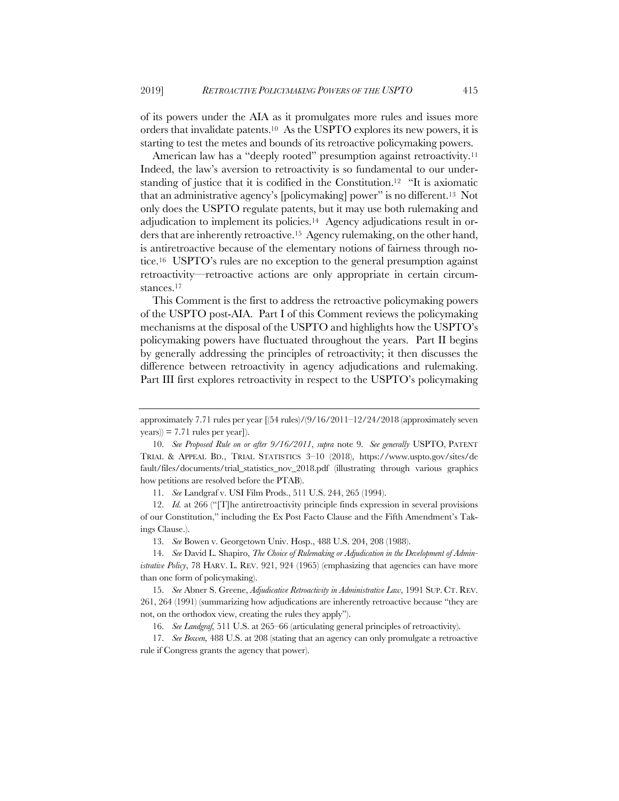of its powers under the AIA as it promulgates more rules and issues more orders that invalidate patents.10 As the USPTO explores its new powers, it is starting to test the metes and bounds of its retroactive policymaking powers.

American law has a "deeply rooted" presumption against retroactivity.<sup>11</sup> Indeed, the law's aversion to retroactivity is so fundamental to our understanding of justice that it is codified in the Constitution.12 "It is axiomatic that an administrative agency's [policymaking] power" is no different.13 Not only does the USPTO regulate patents, but it may use both rulemaking and adjudication to implement its policies.14 Agency adjudications result in orders that are inherently retroactive.15 Agency rulemaking, on the other hand, is antiretroactive because of the elementary notions of fairness through notice.16 USPTO's rules are no exception to the general presumption against retroactivity—retroactive actions are only appropriate in certain circumstances.17

This Comment is the first to address the retroactive policymaking powers of the USPTO post-AIA. Part I of this Comment reviews the policymaking mechanisms at the disposal of the USPTO and highlights how the USPTO's policymaking powers have fluctuated throughout the years. Part II begins by generally addressing the principles of retroactivity; it then discusses the difference between retroactivity in agency adjudications and rulemaking. Part III first explores retroactivity in respect to the USPTO's policymaking

11. *See* Landgraf v. USI Film Prods., 511 U.S. 244, 265 (1994).

approximately 7.71 rules per year [(54 rules)/(9/16/2011–12/24/2018 (approximately seven  $\langle \text{years} \rangle$  = 7.71 rules per year]).

<sup>10.</sup> *See Proposed Rule on or after 9/16/2011*, *supra* note 9. *See generally* USPTO, PATENT TRIAL & APPEAL BD., TRIAL STATISTICS 3–10 (2018), https://www.uspto.gov/sites/de fault/files/documents/trial\_statistics\_nov\_2018.pdf (illustrating through various graphics how petitions are resolved before the PTAB).

<sup>12.</sup> *Id.* at 266 ("[T]he antiretroactivity principle finds expression in several provisions of our Constitution," including the Ex Post Facto Clause and the Fifth Amendment's Takings Clause.).

<sup>13.</sup> *See* Bowen v. Georgetown Univ. Hosp., 488 U.S. 204, 208 (1988).

<sup>14.</sup> *See* David L. Shapiro, *The Choice of Rulemaking or Adjudication in the Development of Administrative Policy*, 78 HARV. L. REV. 921, 924 (1965) (emphasizing that agencies can have more than one form of policymaking).

<sup>15.</sup> *See* Abner S. Greene, *Adjudicative Retroactivity in Administrative Law*, 1991 SUP. CT. REV. 261, 264 (1991) (summarizing how adjudications are inherently retroactive because "they are not, on the orthodox view, creating the rules they apply").

<sup>16.</sup> *See Landgraf,* 511 U.S. at 265–66 (articulating general principles of retroactivity).

<sup>17.</sup> *See Bowen,* 488 U.S. at 208 (stating that an agency can only promulgate a retroactive rule if Congress grants the agency that power).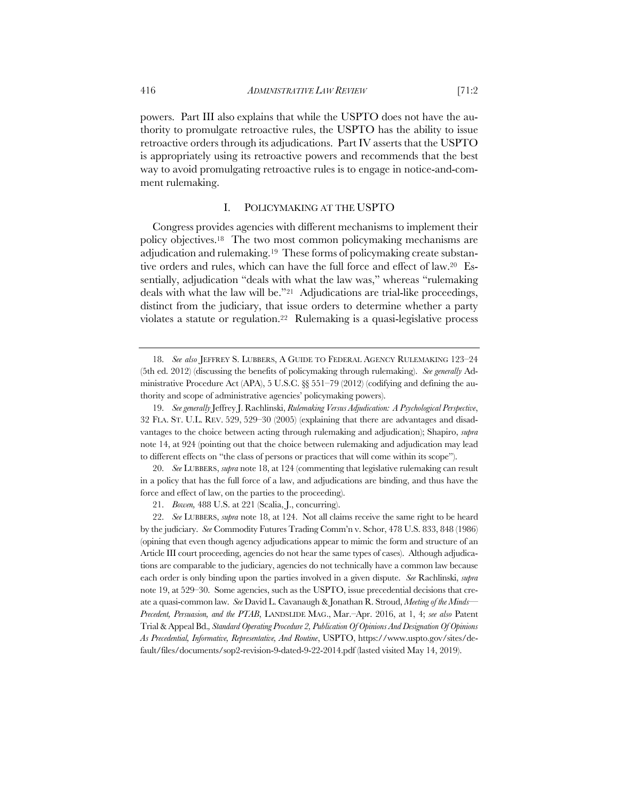powers. Part III also explains that while the USPTO does not have the authority to promulgate retroactive rules, the USPTO has the ability to issue retroactive orders through its adjudications. Part IV asserts that the USPTO is appropriately using its retroactive powers and recommends that the best way to avoid promulgating retroactive rules is to engage in notice-and-comment rulemaking.

#### I. POLICYMAKING AT THE USPTO

Congress provides agencies with different mechanisms to implement their policy objectives.18 The two most common policymaking mechanisms are adjudication and rulemaking.19 These forms of policymaking create substantive orders and rules, which can have the full force and effect of law.20 Essentially, adjudication "deals with what the law was," whereas "rulemaking deals with what the law will be."21 Adjudications are trial-like proceedings, distinct from the judiciary, that issue orders to determine whether a party violates a statute or regulation.22 Rulemaking is a quasi-legislative process

20. *See* LUBBERS, *supra* note 18, at 124 (commenting that legislative rulemaking can result in a policy that has the full force of a law, and adjudications are binding, and thus have the force and effect of law, on the parties to the proceeding).

21. *Bowen,* 488 U.S. at 221 (Scalia, J., concurring).

22. *See* LUBBERS, *supra* note 18, at 124. Not all claims receive the same right to be heard by the judiciary. *See* Commodity Futures Trading Comm'n v. Schor, 478 U.S. 833, 848 (1986) (opining that even though agency adjudications appear to mimic the form and structure of an Article III court proceeding, agencies do not hear the same types of cases). Although adjudications are comparable to the judiciary, agencies do not technically have a common law because each order is only binding upon the parties involved in a given dispute. *See* Rachlinski, *supra* note 19, at 529–30. Some agencies, such as the USPTO, issue precedential decisions that create a quasi-common law. *See* David L. Cavanaugh & Jonathan R. Stroud, *Meeting of the Minds— Precedent, Persuasion, and the PTAB*, LANDSLIDE MAG., Mar.–Apr. 2016, at 1, 4; *see also* Patent Trial & Appeal Bd.*, Standard Operating Procedure 2, Publication Of Opinions And Designation Of Opinions As Precedential, Informative, Representative, And Routine*, USPTO, https://www.uspto.gov/sites/default/files/documents/sop2-revision-9-dated-9-22-2014.pdf (lasted visited May 14, 2019).

<sup>18.</sup> *See also* JEFFREY S. LUBBERS, A GUIDE TO FEDERAL AGENCY RULEMAKING 123–24 (5th ed. 2012) (discussing the benefits of policymaking through rulemaking). *See generally* Administrative Procedure Act (APA), 5 U.S.C.  $\&$  551–79 (2012) (codifying and defining the authority and scope of administrative agencies' policymaking powers).

<sup>19.</sup> *See generally* Jeffrey J. Rachlinski, *Rulemaking Versus Adjudication: A Psychological Perspective*, 32 FLA. ST. U.L. REV. 529, 529–30 (2005) (explaining that there are advantages and disadvantages to the choice between acting through rulemaking and adjudication); Shapiro, *supra* note 14, at 924 (pointing out that the choice between rulemaking and adjudication may lead to different effects on "the class of persons or practices that will come within its scope").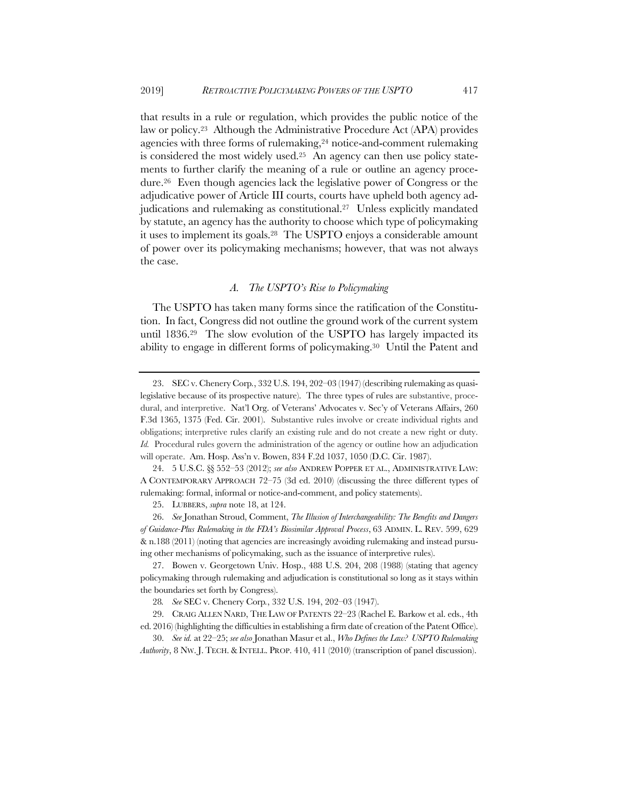that results in a rule or regulation, which provides the public notice of the law or policy.23 Although the Administrative Procedure Act (APA) provides agencies with three forms of rulemaking,<sup>24</sup> notice-and-comment rulemaking is considered the most widely used.25 An agency can then use policy statements to further clarify the meaning of a rule or outline an agency procedure.26 Even though agencies lack the legislative power of Congress or the adjudicative power of Article III courts, courts have upheld both agency adjudications and rulemaking as constitutional.<sup>27</sup> Unless explicitly mandated by statute, an agency has the authority to choose which type of policymaking it uses to implement its goals.28 The USPTO enjoys a considerable amount of power over its policymaking mechanisms; however, that was not always the case.

# *A. The USPTO's Rise to Policymaking*

The USPTO has taken many forms since the ratification of the Constitution. In fact, Congress did not outline the ground work of the current system until 1836.29 The slow evolution of the USPTO has largely impacted its ability to engage in different forms of policymaking.30 Until the Patent and

27. Bowen v. Georgetown Univ. Hosp., 488 U.S. 204, 208 (1988) (stating that agency policymaking through rulemaking and adjudication is constitutional so long as it stays within the boundaries set forth by Congress).

28*. See* SEC v. Chenery Corp*.*, 332 U.S. 194, 202–03 (1947).

29. CRAIG ALLEN NARD, THE LAW OF PATENTS 22–23 (Rachel E. Barkow et al. eds., 4th ed. 2016) (highlighting the difficulties in establishing a firm date of creation of the Patent Office).

30. *See id.* at 22–25; *see also* Jonathan Masur et al., *Who Defines the Law? USPTO Rulemaking Authority*, 8 NW. J. TECH. & INTELL. PROP. 410, 411 (2010) (transcription of panel discussion).

<sup>23.</sup> SEC v. Chenery Corp*.*, 332 U.S. 194, 202–03 (1947) (describing rulemaking as quasilegislative because of its prospective nature). The three types of rules are substantive, procedural, and interpretive. Nat'l Org. of Veterans' Advocates v. Sec'y of Veterans Affairs, 260 F.3d 1365, 1375 (Fed. Cir. 2001). Substantive rules involve or create individual rights and obligations; interpretive rules clarify an existing rule and do not create a new right or duty. *Id.* Procedural rules govern the administration of the agency or outline how an adjudication will operate. Am. Hosp. Ass'n v. Bowen, 834 F.2d 1037, 1050 (D.C. Cir. 1987).

<sup>24.</sup> 5 U.S.C. §§ 552–53 (2012); *see also* ANDREW POPPER ET AL., ADMINISTRATIVE LAW: A CONTEMPORARY APPROACH 72–75 (3d ed. 2010) (discussing the three different types of rulemaking: formal, informal or notice-and-comment, and policy statements).

<sup>25.</sup> LUBBERS, *supra* note 18, at 124.

<sup>26.</sup> *See* Jonathan Stroud, Comment, *The Illusion of Interchangeability: The Benefits and Dangers of Guidance-Plus Rulemaking in the FDA's Biosimilar Approval Process*, 63 ADMIN. L. REV. 599, 629 & n.188 (2011) (noting that agencies are increasingly avoiding rulemaking and instead pursuing other mechanisms of policymaking, such as the issuance of interpretive rules).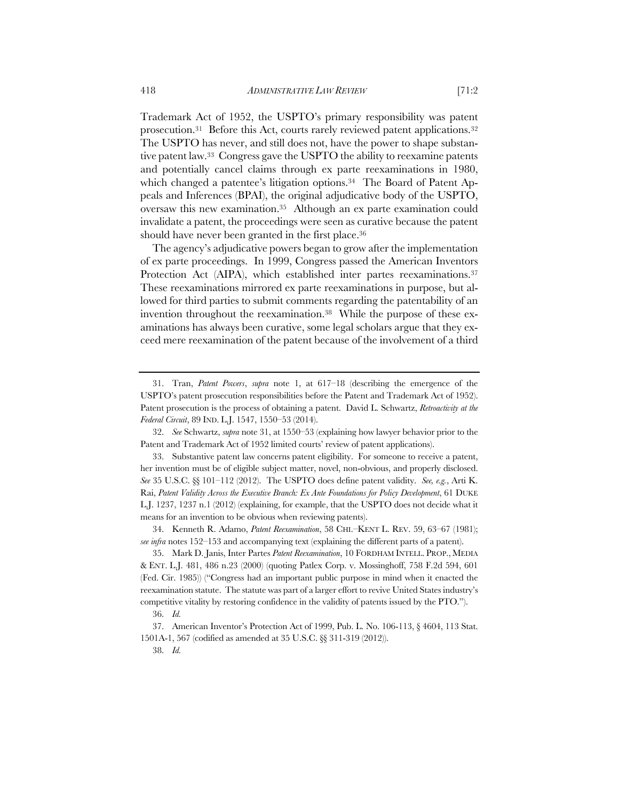Trademark Act of 1952, the USPTO's primary responsibility was patent prosecution.31 Before this Act, courts rarely reviewed patent applications.32 The USPTO has never, and still does not, have the power to shape substantive patent law.33 Congress gave the USPTO the ability to reexamine patents and potentially cancel claims through ex parte reexaminations in 1980, which changed a patentee's litigation options.<sup>34</sup> The Board of Patent Appeals and Inferences (BPAI), the original adjudicative body of the USPTO, oversaw this new examination.35 Although an ex parte examination could invalidate a patent, the proceedings were seen as curative because the patent should have never been granted in the first place.36

The agency's adjudicative powers began to grow after the implementation of ex parte proceedings. In 1999, Congress passed the American Inventors Protection Act (AIPA), which established inter partes reexaminations.<sup>37</sup> These reexaminations mirrored ex parte reexaminations in purpose, but allowed for third parties to submit comments regarding the patentability of an invention throughout the reexamination.38 While the purpose of these examinations has always been curative, some legal scholars argue that they exceed mere reexamination of the patent because of the involvement of a third

<sup>31.</sup> Tran, *Patent Powers*, *supra* note 1, at 617–18 (describing the emergence of the USPTO's patent prosecution responsibilities before the Patent and Trademark Act of 1952). Patent prosecution is the process of obtaining a patent. David L. Schwartz, *Retroactivity at the Federal Circuit*, 89 IND. L.J. 1547, 1550–53 (2014).

<sup>32.</sup> *See* Schwartz, *supra* note 31, at 1550–53 (explaining how lawyer behavior prior to the Patent and Trademark Act of 1952 limited courts' review of patent applications).

<sup>33.</sup> Substantive patent law concerns patent eligibility. For someone to receive a patent, her invention must be of eligible subject matter, novel, non-obvious, and properly disclosed. *See* 35 U.S.C. §§ 101–112 (2012). The USPTO does define patent validity. *See, e.g.*, Arti K. Rai, *Patent Validity Across the Executive Branch: Ex Ante Foundations for Policy Development*, 61 DUKE L.J. 1237, 1237 n.1 (2012) (explaining, for example, that the USPTO does not decide what it means for an invention to be obvious when reviewing patents).

<sup>34.</sup> Kenneth R. Adamo, *Patent Reexamination*, 58 CHI.–KENT L. REV. 59, 63–67 (1981); *see infra* notes 152–153 and accompanying text (explaining the different parts of a patent).

<sup>35.</sup> Mark D. Janis, Inter Partes *Patent Reexamination*, 10 FORDHAM INTELL. PROP., MEDIA & ENT. L.J. 481, 486 n.23 (2000) (quoting Patlex Corp. v. Mossinghoff, 758 F.2d 594, 601 (Fed. Cir. 1985)) ("Congress had an important public purpose in mind when it enacted the reexamination statute. The statute was part of a larger effort to revive United States industry's competitive vitality by restoring confidence in the validity of patents issued by the PTO."). 36. *Id.*

<sup>37.</sup> American Inventor's Protection Act of 1999, Pub. L. No. 106-113, § 4604, 113 Stat. 1501A-1, 567 (codified as amended at 35 U.S.C. §§ 311-319 (2012)).

<sup>38.</sup> *Id.*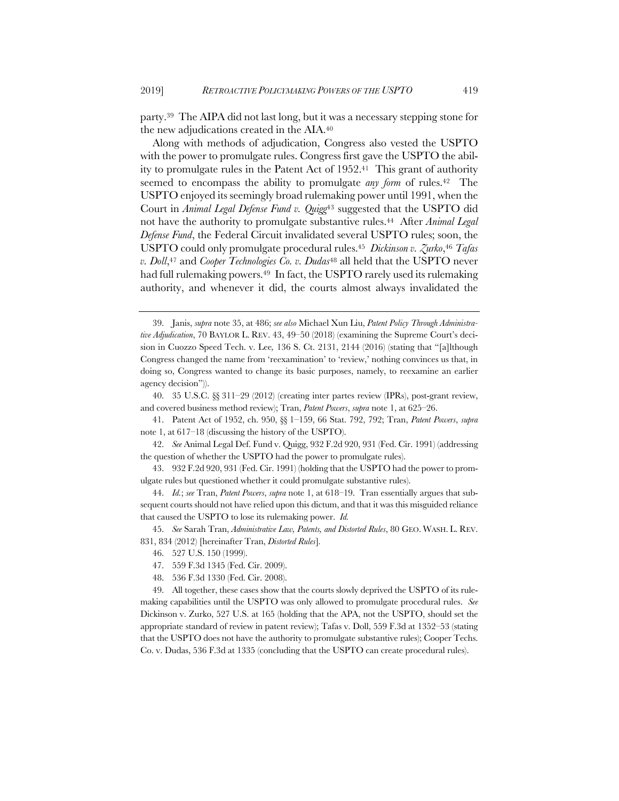party.39 The AIPA did not last long, but it was a necessary stepping stone for the new adjudications created in the AIA.40

Along with methods of adjudication, Congress also vested the USPTO with the power to promulgate rules. Congress first gave the USPTO the ability to promulgate rules in the Patent Act of 1952.41 This grant of authority seemed to encompass the ability to promulgate *any form* of rules.42 The USPTO enjoyed its seemingly broad rulemaking power until 1991, when the Court in *Animal Legal Defense Fund v. Quigg*<sup>43</sup> suggested that the USPTO did not have the authority to promulgate substantive rules.44 After *Animal Legal Defense Fund*, the Federal Circuit invalidated several USPTO rules; soon, the USPTO could only promulgate procedural rules.45 *Dickinson v. Zurko*,46 *Tafas v. Doll*,<sup>47</sup> and *Cooper Technologies Co. v. Dudas*<sup>48</sup> all held that the USPTO never had full rulemaking powers.<sup>49</sup> In fact, the USPTO rarely used its rulemaking authority, and whenever it did, the courts almost always invalidated the

41. Patent Act of 1952, ch. 950, §§ 1–159, 66 Stat. 792, 792; Tran, *Patent Powers*, *supra*  note 1, at 617–18 (discussing the history of the USPTO).

42. *See* Animal Legal Def. Fund v. Quigg, 932 F.2d 920, 931 (Fed. Cir. 1991) (addressing the question of whether the USPTO had the power to promulgate rules).

- 47. 559 F.3d 1345 (Fed. Cir. 2009).
- 48. 536 F.3d 1330 (Fed. Cir. 2008).

49. All together, these cases show that the courts slowly deprived the USPTO of its rulemaking capabilities until the USPTO was only allowed to promulgate procedural rules. *See* Dickinson v. Zurko, 527 U.S. at 165 (holding that the APA, not the USPTO, should set the appropriate standard of review in patent review); Tafas v. Doll, 559 F.3d at 1352–53 (stating that the USPTO does not have the authority to promulgate substantive rules); Cooper Techs. Co. v. Dudas, 536 F.3d at 1335 (concluding that the USPTO can create procedural rules).

<sup>39.</sup> Janis, *supra* note 35, at 486; *see also* Michael Xun Liu, *Patent Policy Through Administrative Adjudication*, 70 BAYLOR L. REV. 43, 49–50 (2018) (examining the Supreme Court's decision in Cuozzo Speed Tech. v. Lee*,* 136 S. Ct. 2131, 2144 (2016) (stating that "[a]lthough Congress changed the name from 'reexamination' to 'review,' nothing convinces us that, in doing so, Congress wanted to change its basic purposes, namely, to reexamine an earlier agency decision")).

<sup>40.</sup> 35 U.S.C. §§ 311–29 (2012) (creating inter partes review (IPRs), post-grant review, and covered business method review); Tran, *Patent Powers*, *supra* note 1, at 625–26.

<sup>43.</sup> 932 F.2d 920, 931 (Fed. Cir. 1991) (holding that the USPTO had the power to promulgate rules but questioned whether it could promulgate substantive rules).

<sup>44.</sup> *Id.*; *see* Tran, *Patent Powers*, *supra* note 1, at 618–19. Tran essentially argues that subsequent courts should not have relied upon this dictum, and that it was this misguided reliance that caused the USPTO to lose its rulemaking power. *Id.*

<sup>45.</sup> *See* Sarah Tran, *Administrative Law, Patents, and Distorted Rules*, 80 GEO. WASH. L. REV. 831, 834 (2012) [hereinafter Tran, *Distorted Rules*]*.*

<sup>46.</sup> 527 U.S. 150 (1999).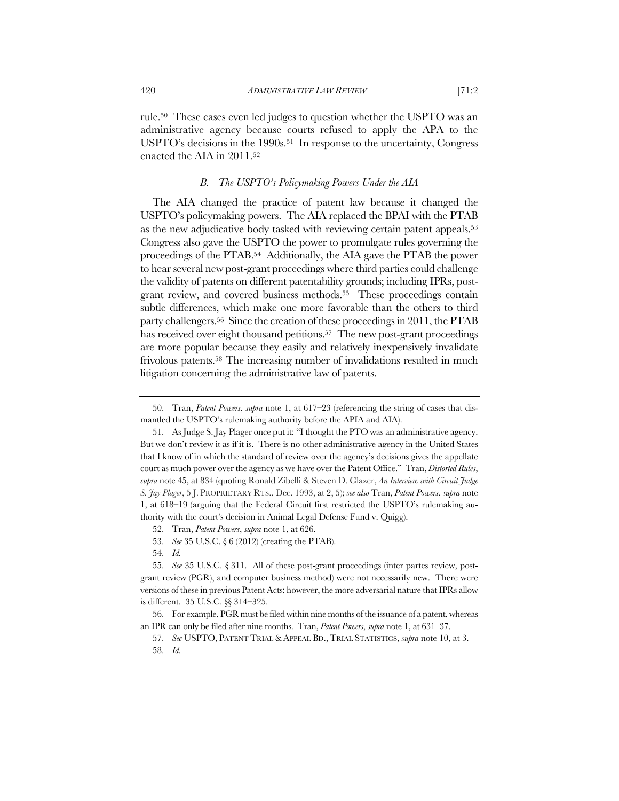rule.50 These cases even led judges to question whether the USPTO was an administrative agency because courts refused to apply the APA to the USPTO's decisions in the 1990s.<sup>51</sup> In response to the uncertainty, Congress enacted the AIA in 2011.52

## *B. The USPTO's Policymaking Powers Under the AIA*

The AIA changed the practice of patent law because it changed the USPTO's policymaking powers. The AIA replaced the BPAI with the PTAB as the new adjudicative body tasked with reviewing certain patent appeals.53 Congress also gave the USPTO the power to promulgate rules governing the proceedings of the PTAB.54 Additionally, the AIA gave the PTAB the power to hear several new post-grant proceedings where third parties could challenge the validity of patents on different patentability grounds; including IPRs, postgrant review, and covered business methods.55 These proceedings contain subtle differences, which make one more favorable than the others to third party challengers.56 Since the creation of these proceedings in 2011, the PTAB has received over eight thousand petitions.<sup>57</sup> The new post-grant proceedings are more popular because they easily and relatively inexpensively invalidate frivolous patents.58 The increasing number of invalidations resulted in much litigation concerning the administrative law of patents.

54. *Id.*

<sup>50.</sup> Tran, *Patent Powers*, *supra* note 1, at 617–23 (referencing the string of cases that dismantled the USPTO's rulemaking authority before the APIA and AIA).

<sup>51.</sup> As Judge S. Jay Plager once put it: "I thought the PTO was an administrative agency. But we don't review it as if it is. There is no other administrative agency in the United States that I know of in which the standard of review over the agency's decisions gives the appellate court as much power over the agency as we have over the Patent Office." Tran, *Distorted Rules*, *supra* note 45, at 834 (quoting Ronald Zibelli & Steven D. Glazer, *An Interview with Circuit Judge S. Jay Plager*, 5 J. PROPRIETARY RTS., Dec. 1993, at 2, 5); *see also* Tran, *Patent Powers*, *supra* note 1, at 618–19 (arguing that the Federal Circuit first restricted the USPTO's rulemaking authority with the court's decision in Animal Legal Defense Fund v. Quigg).

<sup>52.</sup> Tran, *Patent Powers*, *supra* note 1, at 626.

<sup>53.</sup> *See* 35 U.S.C. § 6 (2012) (creating the PTAB).

<sup>55.</sup> *See* 35 U.S.C. § 311. All of these post-grant proceedings (inter partes review, postgrant review (PGR), and computer business method) were not necessarily new. There were versions of these in previous Patent Acts; however, the more adversarial nature that IPRs allow is different. 35 U.S.C. §§ 314–325.

<sup>56.</sup> For example, PGR must be filed within nine months of the issuance of a patent, whereas an IPR can only be filed after nine months. Tran, *Patent Powers*, *supra* note 1, at 631–37.

<sup>57.</sup> *See* USPTO, PATENT TRIAL & APPEAL BD., TRIAL STATISTICS, *supra* note 10, at 3. 58. *Id.*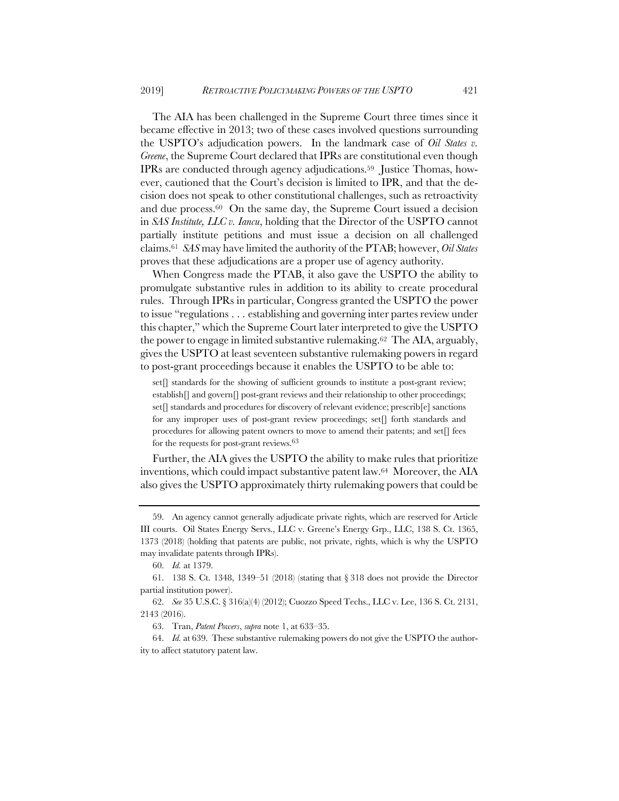The AIA has been challenged in the Supreme Court three times since it became effective in 2013; two of these cases involved questions surrounding the USPTO's adjudication powers. In the landmark case of *Oil States v. Greene*, the Supreme Court declared that IPRs are constitutional even though IPRs are conducted through agency adjudications.59 Justice Thomas, however, cautioned that the Court's decision is limited to IPR, and that the decision does not speak to other constitutional challenges, such as retroactivity and due process.60 On the same day, the Supreme Court issued a decision in *SAS Institute, LLC v. Iancu*, holding that the Director of the USPTO cannot partially institute petitions and must issue a decision on all challenged claims.61 *SAS* may have limited the authority of the PTAB; however, *Oil States* proves that these adjudications are a proper use of agency authority.

When Congress made the PTAB, it also gave the USPTO the ability to promulgate substantive rules in addition to its ability to create procedural rules. Through IPRs in particular, Congress granted the USPTO the power to issue "regulations . . . establishing and governing inter partes review under this chapter," which the Supreme Court later interpreted to give the USPTO the power to engage in limited substantive rulemaking.62 The AIA, arguably, gives the USPTO at least seventeen substantive rulemaking powers in regard to post-grant proceedings because it enables the USPTO to be able to:

set<sup>[]</sup> standards for the showing of sufficient grounds to institute a post-grant review; establish[] and govern[] post-grant reviews and their relationship to other proceedings; set<sup>[]</sup> standards and procedures for discovery of relevant evidence; prescrib<sup>[e]</sup> sanctions for any improper uses of post-grant review proceedings; set $\lceil \rceil$  forth standards and procedures for allowing patent owners to move to amend their patents; and set[] fees for the requests for post-grant reviews.63

Further, the AIA gives the USPTO the ability to make rules that prioritize inventions, which could impact substantive patent law.64 Moreover, the AIA also gives the USPTO approximately thirty rulemaking powers that could be

<sup>59.</sup> An agency cannot generally adjudicate private rights, which are reserved for Article III courts. Oil States Energy Servs., LLC v. Greene's Energy Grp., LLC, 138 S. Ct. 1365, 1373 (2018) (holding that patents are public, not private, rights, which is why the USPTO may invalidate patents through IPRs).

<sup>60.</sup> *Id.* at 1379.

<sup>61.</sup> 138 S. Ct. 1348, 1349–51 (2018) (stating that § 318 does not provide the Director partial institution power).

<sup>62.</sup> *See* 35 U.S.C. § 316(a)(4) (2012); Cuozzo Speed Techs., LLC v. Lee, 136 S. Ct. 2131, 2143 (2016).

<sup>63.</sup> Tran, *Patent Powers*, *supra* note 1, at 633–35.

<sup>64.</sup> *Id.* at 639. These substantive rulemaking powers do not give the USPTO the authority to affect statutory patent law.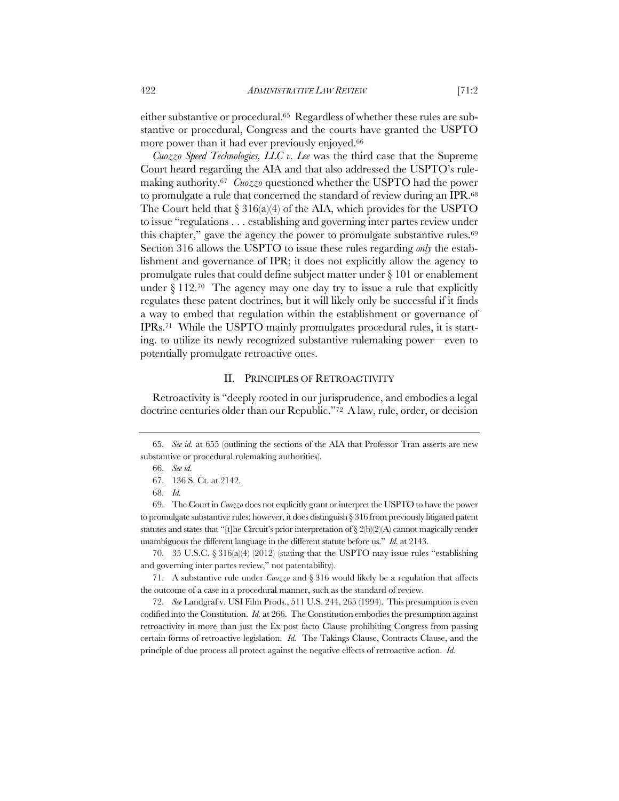either substantive or procedural.65 Regardless of whether these rules are substantive or procedural, Congress and the courts have granted the USPTO more power than it had ever previously enjoyed.<sup>66</sup>

*Cuozzo Speed Technologies, LLC v. Lee* was the third case that the Supreme Court heard regarding the AIA and that also addressed the USPTO's rulemaking authority.67 *Cuozzo* questioned whether the USPTO had the power to promulgate a rule that concerned the standard of review during an IPR.68 The Court held that  $\S 316(a)(4)$  of the AIA, which provides for the USPTO to issue "regulations . . . establishing and governing inter partes review under this chapter," gave the agency the power to promulgate substantive rules.69 Section 316 allows the USPTO to issue these rules regarding *only* the establishment and governance of IPR; it does not explicitly allow the agency to promulgate rules that could define subject matter under § 101 or enablement under  $\S 112$ .<sup>70</sup> The agency may one day try to issue a rule that explicitly regulates these patent doctrines, but it will likely only be successful if it finds a way to embed that regulation within the establishment or governance of IPRs.71 While the USPTO mainly promulgates procedural rules, it is starting. to utilize its newly recognized substantive rulemaking power—even to potentially promulgate retroactive ones.

## II. PRINCIPLES OF RETROACTIVITY

Retroactivity is "deeply rooted in our jurisprudence, and embodies a legal doctrine centuries older than our Republic."72 A law, rule, order, or decision

70. 35 U.S.C. § 316(a)(4) (2012) (stating that the USPTO may issue rules "establishing and governing inter partes review," not patentability).

71. A substantive rule under *Cuozzo* and § 316 would likely be a regulation that affects the outcome of a case in a procedural manner, such as the standard of review.

72. *See* Landgraf v. USI Film Prods., 511 U.S. 244, 265 (1994). This presumption is even codified into the Constitution. *Id.* at 266. The Constitution embodies the presumption against retroactivity in more than just the Ex post facto Clause prohibiting Congress from passing certain forms of retroactive legislation. *Id.* The Takings Clause, Contracts Clause, and the principle of due process all protect against the negative effects of retroactive action. *Id.*

<sup>65.</sup> *See id.* at 655 (outlining the sections of the AIA that Professor Tran asserts are new substantive or procedural rulemaking authorities).

<sup>66.</sup> *See id.*

<sup>67.</sup> 136 S. Ct. at 2142.

<sup>68.</sup> *Id.*

<sup>69.</sup> The Court in *Cuozzo* does not explicitly grant or interpret the USPTO to have the power to promulgate substantive rules; however, it does distinguish § 316 from previously litigated patent statutes and states that "[t]he Circuit's prior interpretation of  $\S 2(b)(2)(A)$  cannot magically render unambiguous the different language in the different statute before us." *Id.* at 2143.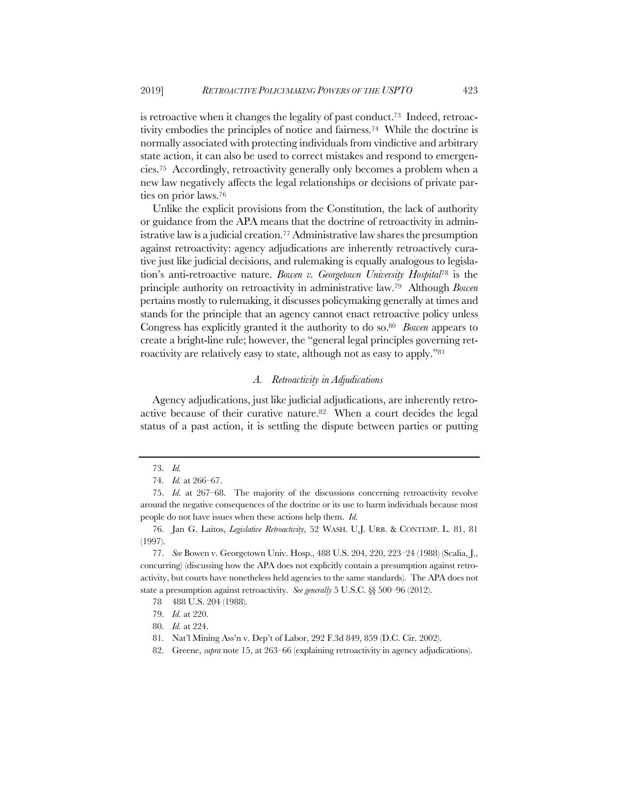is retroactive when it changes the legality of past conduct.73 Indeed, retroactivity embodies the principles of notice and fairness.74 While the doctrine is normally associated with protecting individuals from vindictive and arbitrary state action, it can also be used to correct mistakes and respond to emergencies.75 Accordingly, retroactivity generally only becomes a problem when a new law negatively affects the legal relationships or decisions of private parties on prior laws.76

Unlike the explicit provisions from the Constitution, the lack of authority or guidance from the APA means that the doctrine of retroactivity in administrative law is a judicial creation.<sup>77</sup> Administrative law shares the presumption against retroactivity: agency adjudications are inherently retroactively curative just like judicial decisions, and rulemaking is equally analogous to legislation's anti-retroactive nature. *Bowen v. Georgetown University Hospital*<sup>78</sup> is the principle authority on retroactivity in administrative law.79 Although *Bowen* pertains mostly to rulemaking, it discusses policymaking generally at times and stands for the principle that an agency cannot enact retroactive policy unless Congress has explicitly granted it the authority to do so.80 *Bowen* appears to create a bright-line rule; however, the "general legal principles governing retroactivity are relatively easy to state, although not as easy to apply."<sup>81</sup>

#### *A. Retroactivity in Adjudications*

Agency adjudications, just like judicial adjudications, are inherently retroactive because of their curative nature.82 When a court decides the legal status of a past action, it is settling the dispute between parties or putting

<sup>73.</sup> *Id.*

<sup>74.</sup> *Id.* at 266–67.

<sup>75.</sup> *Id.* at 267–68. The majority of the discussions concerning retroactivity revolve around the negative consequences of the doctrine or its use to harm individuals because most people do not have issues when these actions help them. *Id.*

<sup>76.</sup> Jan G. Laitos, *Legislative Retroactivity*, 52 WASH. U.J. URB. & CONTEMP. L. 81, 81 (1997).

<sup>77.</sup> *See* Bowen v. Georgetown Univ. Hosp., 488 U.S. 204, 220, 223–24 (1988) (Scalia, J., concurring) (discussing how the APA does not explicitly contain a presumption against retroactivity, but courts have nonetheless held agencies to the same standards). The APA does not state a presumption against retroactivity. *See generally* 5 U.S.C. §§ 500–96 (2012).

<sup>78</sup> 488 U.S. 204 (1988).

<sup>79.</sup> *Id.* at 220.

<sup>80.</sup> *Id.* at 224.

<sup>81.</sup> Nat'l Mining Ass'n v. Dep't of Labor, 292 F.3d 849, 859 (D.C. Cir. 2002).

<sup>82.</sup> Greene, *supra* note 15, at 263–66 (explaining retroactivity in agency adjudications).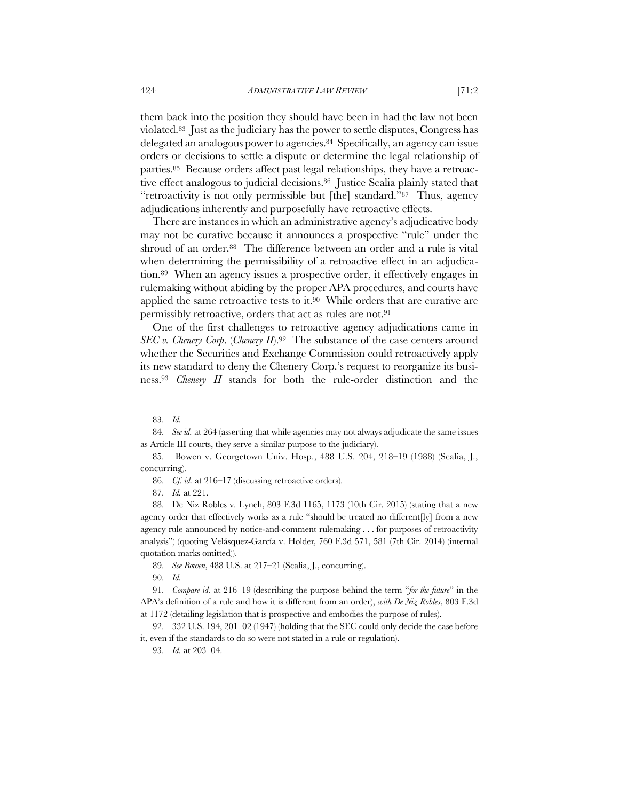violated.83 Just as the judiciary has the power to settle disputes, Congress has delegated an analogous power to agencies.84 Specifically, an agency can issue orders or decisions to settle a dispute or determine the legal relationship of parties.85 Because orders affect past legal relationships, they have a retroactive effect analogous to judicial decisions.86 Justice Scalia plainly stated that "retroactivity is not only permissible but [the] standard."87 Thus, agency adjudications inherently and purposefully have retroactive effects.

There are instances in which an administrative agency's adjudicative body may not be curative because it announces a prospective "rule" under the shroud of an order.88 The difference between an order and a rule is vital when determining the permissibility of a retroactive effect in an adjudication.89 When an agency issues a prospective order, it effectively engages in rulemaking without abiding by the proper APA procedures, and courts have applied the same retroactive tests to it.90 While orders that are curative are permissibly retroactive, orders that act as rules are not.91

One of the first challenges to retroactive agency adjudications came in *SEC v. Chenery Corp.* (*Chenery II*).<sup>92</sup> The substance of the case centers around whether the Securities and Exchange Commission could retroactively apply its new standard to deny the Chenery Corp.'s request to reorganize its business.93 *Chenery II* stands for both the rule-order distinction and the

90. *Id.*

91. *Compare id.* at 216–19 (describing the purpose behind the term "*for the future*" in the APA's definition of a rule and how it is different from an order), *with De Niz Robles*, 803 F.3d at 1172 (detailing legislation that is prospective and embodies the purpose of rules).

<sup>83.</sup> *Id.*

<sup>84.</sup> *See id.* at 264 (asserting that while agencies may not always adjudicate the same issues as Article III courts, they serve a similar purpose to the judiciary).

<sup>85.</sup> Bowen v. Georgetown Univ. Hosp., 488 U.S. 204, 218–19 (1988) (Scalia, J., concurring).

<sup>86.</sup> *Cf. id.* at 216–17 (discussing retroactive orders).

<sup>87.</sup> *Id.* at 221.

<sup>88.</sup> De Niz Robles v. Lynch, 803 F.3d 1165, 1173 (10th Cir. 2015) (stating that a new agency order that effectively works as a rule "should be treated no different[ly] from a new agency rule announced by notice-and-comment rulemaking . . . for purposes of retroactivity analysis") (quoting Velásquez-García v. Holder*,* 760 F.3d 571, 581 (7th Cir. 2014) (internal quotation marks omitted)).

<sup>89.</sup> *See Bowen*, 488 U.S. at 217–21 (Scalia, J., concurring).

<sup>92.</sup> 332 U.S. 194, 201–02 (1947) (holding that the SEC could only decide the case before it, even if the standards to do so were not stated in a rule or regulation).

<sup>93.</sup> *Id.* at 203–04.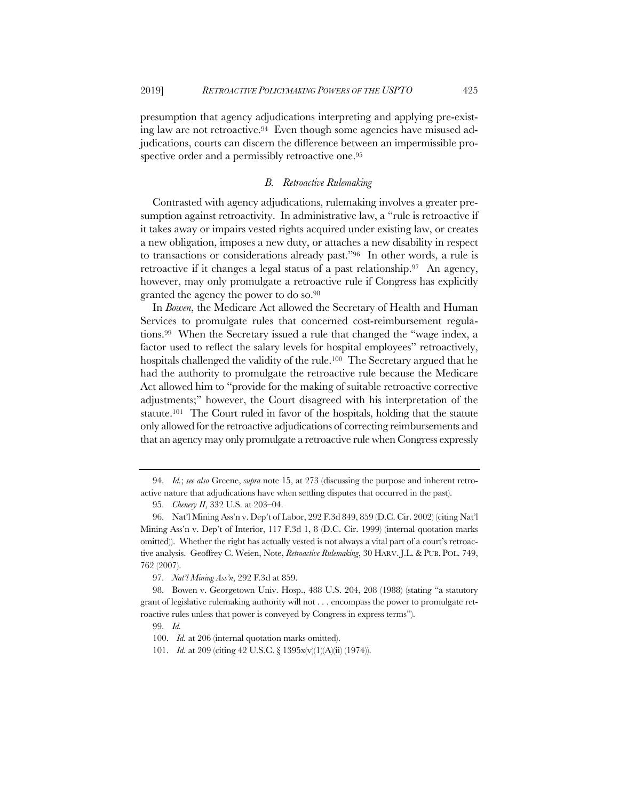presumption that agency adjudications interpreting and applying pre-existing law are not retroactive.94 Even though some agencies have misused adjudications, courts can discern the difference between an impermissible prospective order and a permissibly retroactive one.<sup>95</sup>

## *B. Retroactive Rulemaking*

Contrasted with agency adjudications, rulemaking involves a greater presumption against retroactivity. In administrative law, a "rule is retroactive if it takes away or impairs vested rights acquired under existing law, or creates a new obligation, imposes a new duty, or attaches a new disability in respect to transactions or considerations already past."96 In other words, a rule is retroactive if it changes a legal status of a past relationship.97 An agency, however, may only promulgate a retroactive rule if Congress has explicitly granted the agency the power to do so.98

In *Bowen*, the Medicare Act allowed the Secretary of Health and Human Services to promulgate rules that concerned cost-reimbursement regulations.99 When the Secretary issued a rule that changed the "wage index, a factor used to reflect the salary levels for hospital employees" retroactively, hospitals challenged the validity of the rule.<sup>100</sup> The Secretary argued that he had the authority to promulgate the retroactive rule because the Medicare Act allowed him to "provide for the making of suitable retroactive corrective adjustments;" however, the Court disagreed with his interpretation of the statute.101 The Court ruled in favor of the hospitals, holding that the statute only allowed for the retroactive adjudications of correcting reimbursements and that an agency may only promulgate a retroactive rule when Congress expressly

<sup>94.</sup> *Id.*; *see also* Greene, *supra* note 15, at 273 (discussing the purpose and inherent retroactive nature that adjudications have when settling disputes that occurred in the past).

<sup>95.</sup> *Chenery II*, 332 U.S. at 203–04.

<sup>96.</sup> Nat'l Mining Ass'n v. Dep't of Labor, 292 F.3d 849, 859 (D.C. Cir. 2002) (citing Nat'l Mining Ass'n v. Dep't of Interior, 117 F.3d 1, 8 (D.C. Cir. 1999) (internal quotation marks omitted)). Whether the right has actually vested is not always a vital part of a court's retroactive analysis. Geoffrey C. Weien, Note, *Retroactive Rulemaking*, 30 HARV. J.L. & PUB. POL. 749, 762 (2007).

<sup>97.</sup> *Nat'l Mining Ass'n*, 292 F.3d at 859.

<sup>98.</sup> Bowen v. Georgetown Univ. Hosp., 488 U.S. 204, 208 (1988) (stating "a statutory grant of legislative rulemaking authority will not . . . encompass the power to promulgate retroactive rules unless that power is conveyed by Congress in express terms").

<sup>99.</sup> *Id.*

<sup>100.</sup> *Id.* at 206 (internal quotation marks omitted).

<sup>101.</sup> *Id.* at 209 (citing 42 U.S.C. § 1395x(v)(1)(A)(ii) (1974)).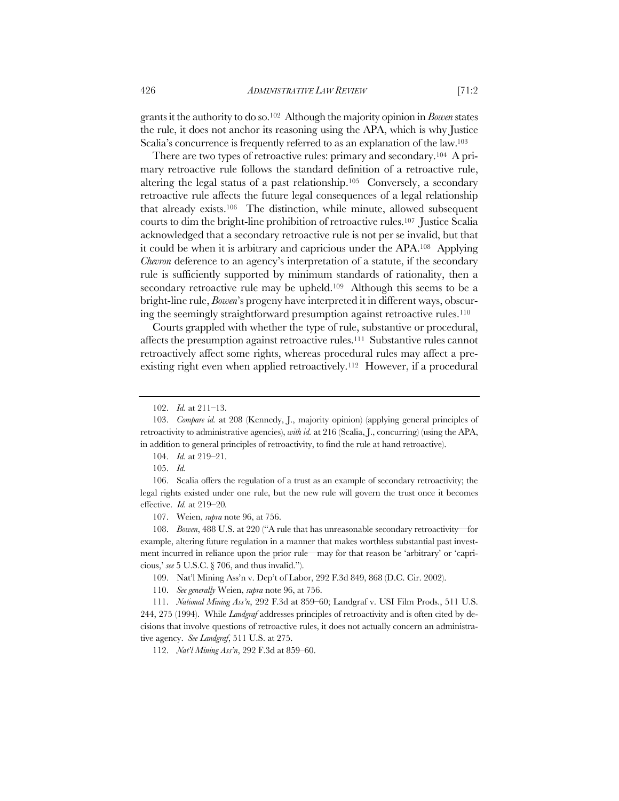grants it the authority to do so.102 Although the majority opinion in *Bowen* states the rule, it does not anchor its reasoning using the APA, which is why Justice Scalia's concurrence is frequently referred to as an explanation of the law.103

There are two types of retroactive rules: primary and secondary.104 A primary retroactive rule follows the standard definition of a retroactive rule, altering the legal status of a past relationship.105 Conversely, a secondary retroactive rule affects the future legal consequences of a legal relationship that already exists.106 The distinction, while minute, allowed subsequent courts to dim the bright-line prohibition of retroactive rules.107 Justice Scalia acknowledged that a secondary retroactive rule is not per se invalid, but that it could be when it is arbitrary and capricious under the APA.108 Applying *Chevron* deference to an agency's interpretation of a statute, if the secondary rule is sufficiently supported by minimum standards of rationality, then a secondary retroactive rule may be upheld.<sup>109</sup> Although this seems to be a bright-line rule, *Bowen*'s progeny have interpreted it in different ways, obscuring the seemingly straightforward presumption against retroactive rules.110

Courts grappled with whether the type of rule, substantive or procedural, affects the presumption against retroactive rules.111 Substantive rules cannot retroactively affect some rights, whereas procedural rules may affect a preexisting right even when applied retroactively.112 However, if a procedural

104. *Id.* at 219–21.

105. *Id.*

106. Scalia offers the regulation of a trust as an example of secondary retroactivity; the legal rights existed under one rule, but the new rule will govern the trust once it becomes effective. *Id.* at 219–20*.*

107. Weien, *supra* note 96, at 756.

108. *Bowen*, 488 U.S. at 220 ("A rule that has unreasonable secondary retroactivity—for example, altering future regulation in a manner that makes worthless substantial past investment incurred in reliance upon the prior rule—may for that reason be 'arbitrary' or 'capricious,' *see* 5 U.S.C. § 706, and thus invalid.").

109. Nat'l Mining Ass'n v. Dep't of Labor, 292 F.3d 849, 868 (D.C. Cir. 2002).

110. *See generally* Weien, *supra* note 96, at 756.

111. *National Mining Ass'n*, 292 F.3d at 859–60; Landgraf v. USI Film Prods., 511 U.S. 244, 275 (1994). While *Landgraf* addresses principles of retroactivity and is often cited by decisions that involve questions of retroactive rules, it does not actually concern an administrative agency. *See Landgraf*, 511 U.S. at 275.

112. *Nat'l Mining Ass'n*, 292 F.3d at 859–60.

<sup>102.</sup> *Id.* at 211–13.

<sup>103.</sup> *Compare id.* at 208 (Kennedy, J., majority opinion) (applying general principles of retroactivity to administrative agencies), *with id.* at 216 (Scalia, J., concurring) (using the APA, in addition to general principles of retroactivity, to find the rule at hand retroactive).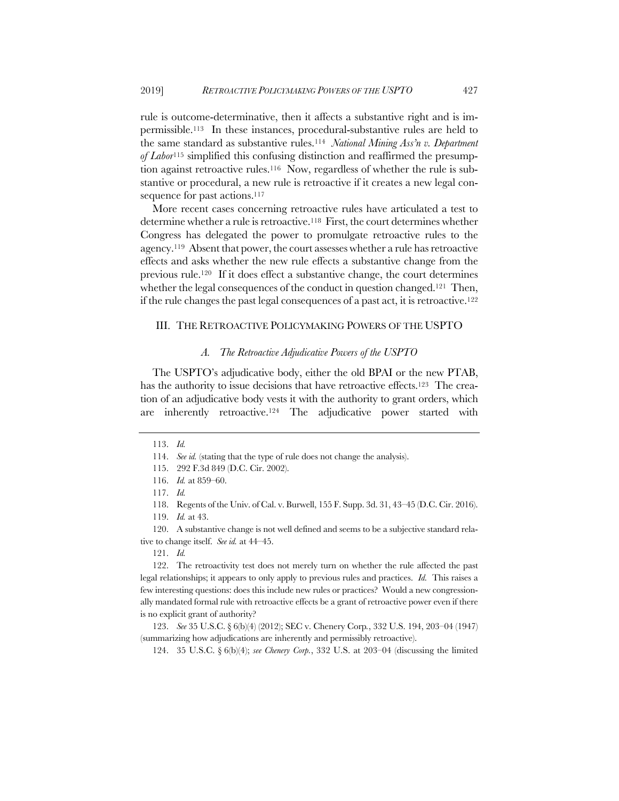rule is outcome-determinative, then it affects a substantive right and is impermissible.113 In these instances, procedural-substantive rules are held to the same standard as substantive rules.114 *National Mining Ass'n v. Department of Labor*<sup>115</sup> simplified this confusing distinction and reaffirmed the presumption against retroactive rules.116 Now, regardless of whether the rule is substantive or procedural, a new rule is retroactive if it creates a new legal consequence for past actions.<sup>117</sup>

More recent cases concerning retroactive rules have articulated a test to determine whether a rule is retroactive.118 First, the court determines whether Congress has delegated the power to promulgate retroactive rules to the agency.119 Absent that power, the court assesses whether a rule has retroactive effects and asks whether the new rule effects a substantive change from the previous rule.120 If it does effect a substantive change, the court determines whether the legal consequences of the conduct in question changed.<sup>121</sup> Then, if the rule changes the past legal consequences of a past act, it is retroactive.122

#### III. THE RETROACTIVE POLICYMAKING POWERS OF THE USPTO

#### *A. The Retroactive Adjudicative Powers of the USPTO*

The USPTO's adjudicative body, either the old BPAI or the new PTAB, has the authority to issue decisions that have retroactive effects.<sup>123</sup> The creation of an adjudicative body vests it with the authority to grant orders, which are inherently retroactive.124 The adjudicative power started with

118. Regents of the Univ. of Cal. v. Burwell, 155 F. Supp. 3d. 31, 43–45 (D.C. Cir. 2016).

120. A substantive change is not well defined and seems to be a subjective standard relative to change itself. *See id.* at 44–45.

123. *See* 35 U.S.C. § 6(b)(4) (2012); SEC v. Chenery Corp*.*, 332 U.S. 194, 203–04 (1947) (summarizing how adjudications are inherently and permissibly retroactive).

124. 35 U.S.C. § 6(b)(4); *see Chenery Corp.*, 332 U.S. at 203–04 (discussing the limited

<sup>113.</sup> *Id.*

<sup>114.</sup> *See id.* (stating that the type of rule does not change the analysis).

<sup>115.</sup> 292 F.3d 849 (D.C. Cir. 2002).

<sup>116.</sup> *Id.* at 859–60.

<sup>117.</sup> *Id.*

<sup>119.</sup> *Id.* at 43.

<sup>121.</sup> *Id.*

<sup>122.</sup> The retroactivity test does not merely turn on whether the rule affected the past legal relationships; it appears to only apply to previous rules and practices. *Id.* This raises a few interesting questions: does this include new rules or practices? Would a new congressionally mandated formal rule with retroactive effects be a grant of retroactive power even if there is no explicit grant of authority?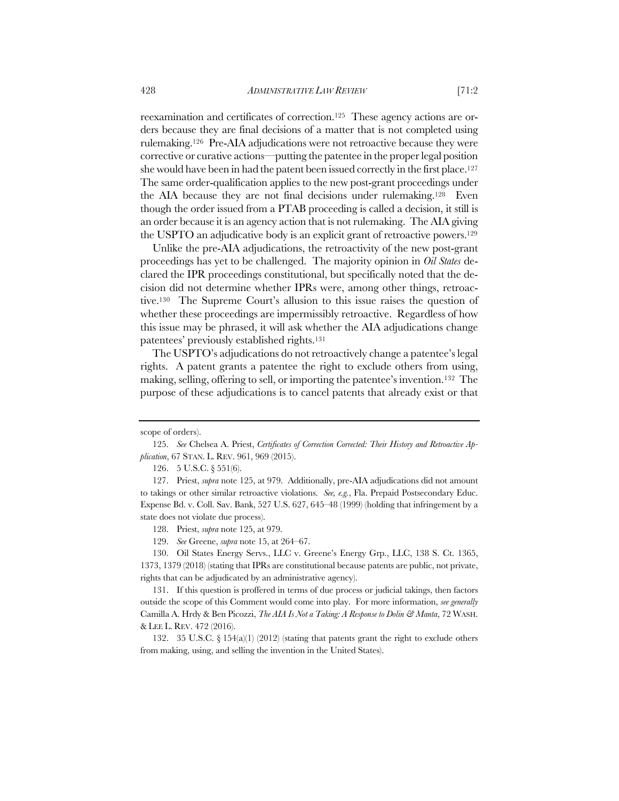reexamination and certificates of correction.125 These agency actions are orders because they are final decisions of a matter that is not completed using rulemaking.126 Pre-AIA adjudications were not retroactive because they were corrective or curative actions—putting the patentee in the proper legal position she would have been in had the patent been issued correctly in the first place.<sup>127</sup> The same order-qualification applies to the new post-grant proceedings under the AIA because they are not final decisions under rulemaking.128 Even though the order issued from a PTAB proceeding is called a decision, it still is an order because it is an agency action that is not rulemaking. The AIA giving the USPTO an adjudicative body is an explicit grant of retroactive powers.129

Unlike the pre-AIA adjudications, the retroactivity of the new post-grant proceedings has yet to be challenged. The majority opinion in *Oil States* declared the IPR proceedings constitutional, but specifically noted that the decision did not determine whether IPRs were, among other things, retroactive.130 The Supreme Court's allusion to this issue raises the question of whether these proceedings are impermissibly retroactive. Regardless of how this issue may be phrased, it will ask whether the AIA adjudications change patentees' previously established rights.131

The USPTO's adjudications do not retroactively change a patentee's legal rights. A patent grants a patentee the right to exclude others from using, making, selling, offering to sell, or importing the patentee's invention.132 The purpose of these adjudications is to cancel patents that already exist or that

128. Priest, *supra* note 125, at 979.

129. *See* Greene, *supra* note 15, at 264–67.

130. Oil States Energy Servs., LLC v. Greene's Energy Grp., LLC, 138 S. Ct. 1365, 1373, 1379 (2018) (stating that IPRs are constitutional because patents are public, not private, rights that can be adjudicated by an administrative agency).

131. If this question is proffered in terms of due process or judicial takings, then factors outside the scope of this Comment would come into play. For more information, *see generally* Camilla A. Hrdy & Ben Picozzi, *The AIA Is Not a Taking: A Response to Dolin & Manta*, 72 WASH. & LEE L. REV. 472 (2016).

132. 35 U.S.C. § 154(a)(1) (2012) (stating that patents grant the right to exclude others from making, using, and selling the invention in the United States).

scope of orders).

<sup>125.</sup> *See* Chelsea A. Priest, *Certificates of Correction Corrected: Their History and Retroactive Application*, 67 STAN. L. REV. 961, 969 (2015).

<sup>126.</sup> 5 U.S.C. § 551(6).

<sup>127.</sup> Priest, *supra* note 125, at 979. Additionally, pre-AIA adjudications did not amount to takings or other similar retroactive violations. *See, e.g.*, Fla. Prepaid Postsecondary Educ. Expense Bd. v. Coll. Sav. Bank, 527 U.S. 627, 645–48 (1999) (holding that infringement by a state does not violate due process).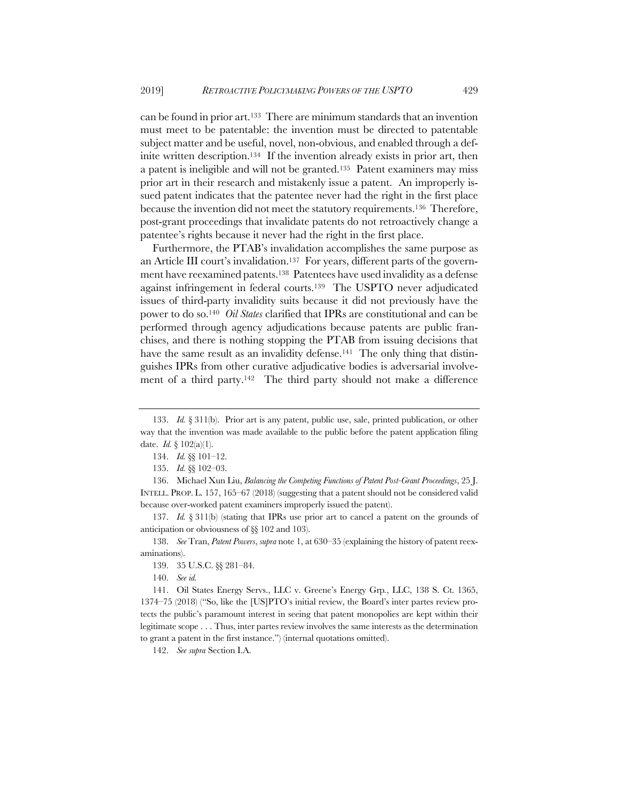can be found in prior art.133 There are minimum standards that an invention must meet to be patentable: the invention must be directed to patentable subject matter and be useful, novel, non-obvious, and enabled through a definite written description.134 If the invention already exists in prior art, then a patent is ineligible and will not be granted.135 Patent examiners may miss prior art in their research and mistakenly issue a patent. An improperly issued patent indicates that the patentee never had the right in the first place because the invention did not meet the statutory requirements.136 Therefore, post-grant proceedings that invalidate patents do not retroactively change a patentee's rights because it never had the right in the first place.

Furthermore, the PTAB's invalidation accomplishes the same purpose as an Article III court's invalidation.137 For years, different parts of the government have reexamined patents.138 Patentees have used invalidity as a defense against infringement in federal courts.139 The USPTO never adjudicated issues of third-party invalidity suits because it did not previously have the power to do so.140 *Oil States* clarified that IPRs are constitutional and can be performed through agency adjudications because patents are public franchises, and there is nothing stopping the PTAB from issuing decisions that have the same result as an invalidity defense.<sup>141</sup> The only thing that distinguishes IPRs from other curative adjudicative bodies is adversarial involvement of a third party.142 The third party should not make a difference

137. *Id.* § 311(b) (stating that IPRs use prior art to cancel a patent on the grounds of anticipation or obviousness of §§ 102 and 103).

138. *See* Tran, *Patent Powers*, *supra* note 1, at 630–35 (explaining the history of patent reexaminations).

140. *See id.*

141. Oil States Energy Servs., LLC v. Greene's Energy Grp*.*, LLC, 138 S. Ct. 1365, 1374–75 (2018) ("So, like the [US]PTO's initial review, the Board's inter partes review protects the public's paramount interest in seeing that patent monopolies are kept within their legitimate scope . . . Thus, inter partes review involves the same interests as the determination to grant a patent in the first instance.") (internal quotations omitted).

142. *See supra* Section I.A.

<sup>133.</sup> *Id.* § 311(b). Prior art is any patent, public use, sale, printed publication, or other way that the invention was made available to the public before the patent application filing date. *Id.* § 102(a)(1).

<sup>134.</sup> *Id.* §§ 101–12.

<sup>135.</sup> *Id.* §§ 102–03.

<sup>136.</sup> Michael Xun Liu, *Balancing the Competing Functions of Patent Post-Grant Proceedings*, 25 J. INTELL. PROP. L. 157, 165–67 (2018) (suggesting that a patent should not be considered valid because over-worked patent examiners improperly issued the patent).

<sup>139.</sup> 35 U.S.C. §§ 281–84.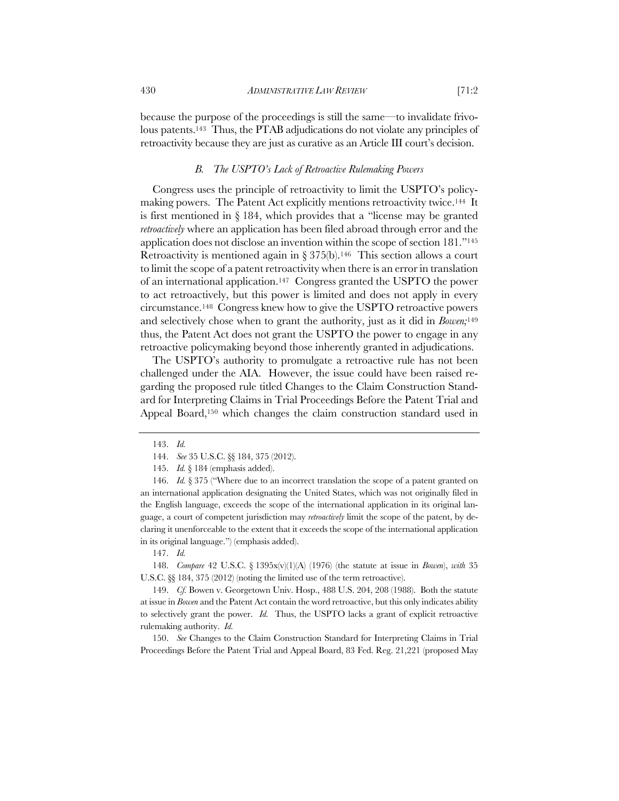because the purpose of the proceedings is still the same—to invalidate frivolous patents.143 Thus, the PTAB adjudications do not violate any principles of retroactivity because they are just as curative as an Article III court's decision.

## *B. The USPTO's Lack of Retroactive Rulemaking Powers*

Congress uses the principle of retroactivity to limit the USPTO's policymaking powers. The Patent Act explicitly mentions retroactivity twice.144 It is first mentioned in § 184, which provides that a "license may be granted *retroactively* where an application has been filed abroad through error and the application does not disclose an invention within the scope of section 181."145 Retroactivity is mentioned again in  $\S 375(b)$ .<sup>146</sup> This section allows a court to limit the scope of a patent retroactivity when there is an error in translation of an international application.147 Congress granted the USPTO the power to act retroactively, but this power is limited and does not apply in every circumstance.148 Congress knew how to give the USPTO retroactive powers and selectively chose when to grant the authority, just as it did in *Bowen;*<sup>149</sup> thus, the Patent Act does not grant the USPTO the power to engage in any retroactive policymaking beyond those inherently granted in adjudications.

The USPTO's authority to promulgate a retroactive rule has not been challenged under the AIA. However, the issue could have been raised regarding the proposed rule titled Changes to the Claim Construction Standard for Interpreting Claims in Trial Proceedings Before the Patent Trial and Appeal Board,150 which changes the claim construction standard used in

146. *Id.* § 375 ("Where due to an incorrect translation the scope of a patent granted on an international application designating the United States, which was not originally filed in the English language, exceeds the scope of the international application in its original language, a court of competent jurisdiction may *retroactively* limit the scope of the patent, by declaring it unenforceable to the extent that it exceeds the scope of the international application in its original language.") (emphasis added).

147. *Id.*

148. *Compare* 42 U.S.C. § 1395x(v)(1)(A) (1976) (the statute at issue in *Bowen*), *with* 35 U.S.C. §§ 184, 375 (2012) (noting the limited use of the term retroactive).

149. *Cf.* Bowen v. Georgetown Univ. Hosp., 488 U.S. 204, 208 (1988). Both the statute at issue in *Bowen* and the Patent Act contain the word retroactive, but this only indicates ability to selectively grant the power. *Id.* Thus, the USPTO lacks a grant of explicit retroactive rulemaking authority. *Id.*

150. *See* Changes to the Claim Construction Standard for Interpreting Claims in Trial Proceedings Before the Patent Trial and Appeal Board, 83 Fed. Reg. 21,221 (proposed May

<sup>143.</sup> *Id.*

<sup>144.</sup> *See* 35 U.S.C. §§ 184, 375 (2012).

<sup>145.</sup> *Id.* § 184 (emphasis added).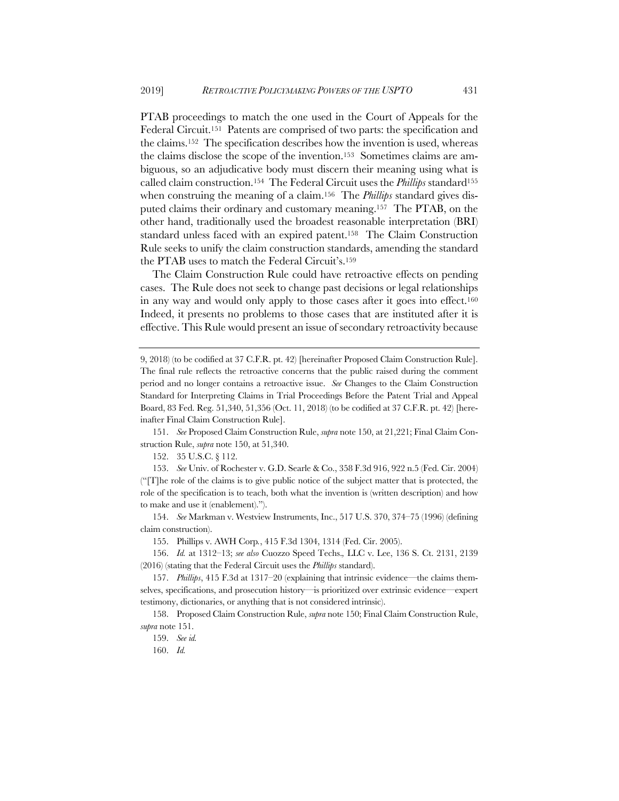PTAB proceedings to match the one used in the Court of Appeals for the Federal Circuit.151 Patents are comprised of two parts: the specification and the claims.152 The specification describes how the invention is used, whereas the claims disclose the scope of the invention.153 Sometimes claims are ambiguous, so an adjudicative body must discern their meaning using what is called claim construction.154 The Federal Circuit uses the *Phillips* standard155 when construing the meaning of a claim.156 The *Phillips* standard gives disputed claims their ordinary and customary meaning.157 The PTAB, on the other hand, traditionally used the broadest reasonable interpretation (BRI) standard unless faced with an expired patent.158 The Claim Construction Rule seeks to unify the claim construction standards, amending the standard the PTAB uses to match the Federal Circuit's.159

The Claim Construction Rule could have retroactive effects on pending cases. The Rule does not seek to change past decisions or legal relationships in any way and would only apply to those cases after it goes into effect.160 Indeed, it presents no problems to those cases that are instituted after it is effective. This Rule would present an issue of secondary retroactivity because

151. *See* Proposed Claim Construction Rule, *supra* note 150, at 21,221; Final Claim Construction Rule, *supra* note 150, at 51,340.

152. 35 U.S.C. § 112.

153. *See* Univ. of Rochester v. G.D. Searle & Co., 358 F.3d 916, 922 n.5 (Fed. Cir. 2004) ("[T]he role of the claims is to give public notice of the subject matter that is protected, the role of the specification is to teach, both what the invention is (written description) and how to make and use it (enablement).").

154. *See* Markman v. Westview Instruments, Inc., 517 U.S. 370, 374–75 (1996) (defining claim construction).

155. Phillips v. AWH Corp*.*, 415 F.3d 1304, 1314 (Fed. Cir. 2005).

156. *Id.* at 1312–13; *see also* Cuozzo Speed Techs.*,* LLC v. Lee, 136 S. Ct. 2131, 2139 (2016) (stating that the Federal Circuit uses the *Phillips* standard).

157. *Phillips*, 415 F.3d at 1317–20 (explaining that intrinsic evidence—the claims themselves, specifications, and prosecution history—is prioritized over extrinsic evidence—expert testimony, dictionaries, or anything that is not considered intrinsic).

158. Proposed Claim Construction Rule, *supra* note 150; Final Claim Construction Rule, *supra* note 151.

160. *Id.*

<sup>9, 2018) (</sup>to be codified at 37 C.F.R. pt. 42) [hereinafter Proposed Claim Construction Rule]. The final rule reflects the retroactive concerns that the public raised during the comment period and no longer contains a retroactive issue. *See* Changes to the Claim Construction Standard for Interpreting Claims in Trial Proceedings Before the Patent Trial and Appeal Board, 83 Fed. Reg. 51,340, 51,356 (Oct. 11, 2018) (to be codified at 37 C.F.R. pt. 42) [hereinafter Final Claim Construction Rule].

<sup>159.</sup> *See id.*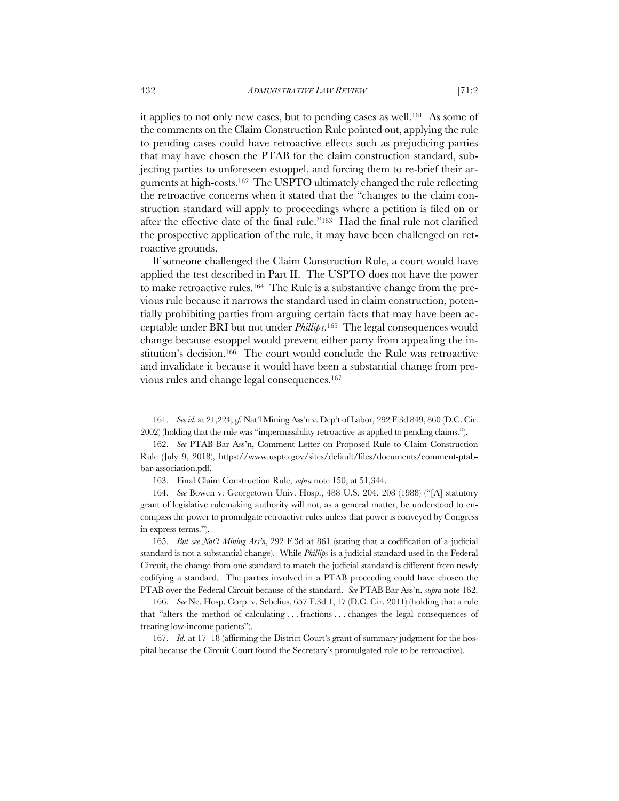it applies to not only new cases, but to pending cases as well.<sup>161</sup> As some of the comments on the Claim Construction Rule pointed out, applying the rule to pending cases could have retroactive effects such as prejudicing parties that may have chosen the PTAB for the claim construction standard, subjecting parties to unforeseen estoppel, and forcing them to re-brief their arguments at high-costs.162 The USPTO ultimately changed the rule reflecting the retroactive concerns when it stated that the "changes to the claim construction standard will apply to proceedings where a petition is filed on or after the effective date of the final rule."163 Had the final rule not clarified the prospective application of the rule, it may have been challenged on retroactive grounds.

If someone challenged the Claim Construction Rule, a court would have applied the test described in Part II. The USPTO does not have the power to make retroactive rules.164 The Rule is a substantive change from the previous rule because it narrows the standard used in claim construction, potentially prohibiting parties from arguing certain facts that may have been acceptable under BRI but not under *Phillips*.165 The legal consequences would change because estoppel would prevent either party from appealing the institution's decision.166 The court would conclude the Rule was retroactive and invalidate it because it would have been a substantial change from previous rules and change legal consequences.167

163. Final Claim Construction Rule, *supra* note 150, at 51,344.

165. *But see Nat'l Mining Ass'n*, 292 F.3d at 861 (stating that a codification of a judicial standard is not a substantial change). While *Phillips* is a judicial standard used in the Federal Circuit, the change from one standard to match the judicial standard is different from newly codifying a standard. The parties involved in a PTAB proceeding could have chosen the PTAB over the Federal Circuit because of the standard. *See* PTAB Bar Ass'n, *supra* note 162.

166. *See* Ne. Hosp. Corp. v. Sebelius, 657 F.3d 1, 17 (D.C. Cir. 2011) (holding that a rule that "alters the method of calculating . . . fractions . . . changes the legal consequences of treating low-income patients").

167. *Id.* at 17–18 (affirming the District Court's grant of summary judgment for the hospital because the Circuit Court found the Secretary's promulgated rule to be retroactive).

<sup>161.</sup> *See id.* at 21,224; *cf.* Nat'l Mining Ass'n v. Dep't of Labor, 292 F.3d 849, 860 (D.C. Cir. 2002) (holding that the rule was "impermissibility retroactive as applied to pending claims.").

<sup>162.</sup> *See* PTAB Bar Ass'n, Comment Letter on Proposed Rule to Claim Construction Rule (July 9, 2018), https://www.uspto.gov/sites/default/files/documents/comment-ptabbar-association.pdf.

<sup>164.</sup> *See* Bowen v. Georgetown Univ. Hosp., 488 U.S. 204, 208 (1988) ("[A] statutory grant of legislative rulemaking authority will not, as a general matter, be understood to encompass the power to promulgate retroactive rules unless that power is conveyed by Congress in express terms.").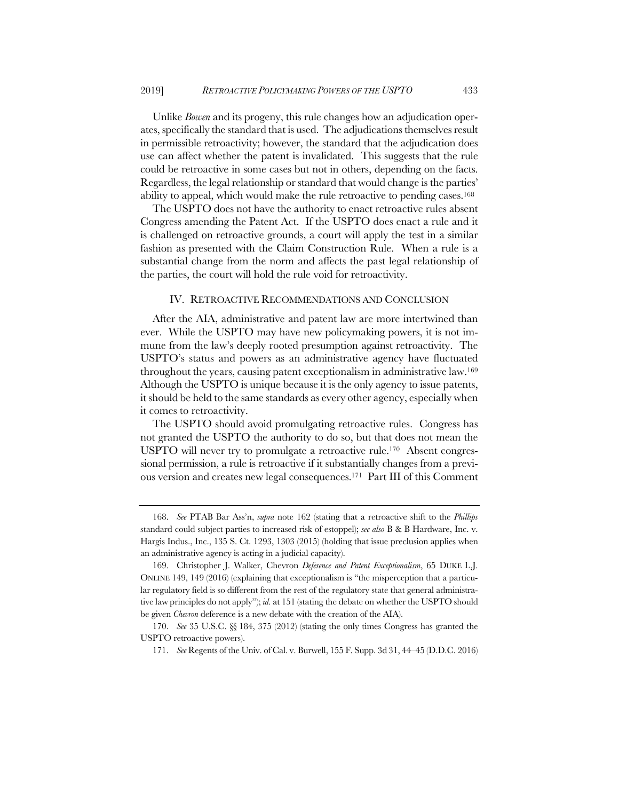Unlike *Bowen* and its progeny, this rule changes how an adjudication operates, specifically the standard that is used. The adjudications themselves result in permissible retroactivity; however, the standard that the adjudication does use can affect whether the patent is invalidated. This suggests that the rule could be retroactive in some cases but not in others, depending on the facts. Regardless, the legal relationship or standard that would change is the parties' ability to appeal, which would make the rule retroactive to pending cases.168

The USPTO does not have the authority to enact retroactive rules absent Congress amending the Patent Act. If the USPTO does enact a rule and it is challenged on retroactive grounds, a court will apply the test in a similar fashion as presented with the Claim Construction Rule. When a rule is a substantial change from the norm and affects the past legal relationship of the parties, the court will hold the rule void for retroactivity.

#### IV. RETROACTIVE RECOMMENDATIONS AND CONCLUSION

After the AIA, administrative and patent law are more intertwined than ever. While the USPTO may have new policymaking powers, it is not immune from the law's deeply rooted presumption against retroactivity. The USPTO's status and powers as an administrative agency have fluctuated throughout the years, causing patent exceptionalism in administrative law.169 Although the USPTO is unique because it is the only agency to issue patents, it should be held to the same standards as every other agency, especially when it comes to retroactivity.

The USPTO should avoid promulgating retroactive rules. Congress has not granted the USPTO the authority to do so, but that does not mean the USPTO will never try to promulgate a retroactive rule.170 Absent congressional permission, a rule is retroactive if it substantially changes from a previous version and creates new legal consequences.171 Part III of this Comment

<sup>168.</sup> *See* PTAB Bar Ass'n, *supra* note 162 (stating that a retroactive shift to the *Phillips* standard could subject parties to increased risk of estoppel); *see also* B & B Hardware, Inc. v. Hargis Indus., Inc., 135 S. Ct. 1293, 1303 (2015) (holding that issue preclusion applies when an administrative agency is acting in a judicial capacity).

<sup>169.</sup> Christopher J. Walker, Chevron *Deference and Patent Exceptionalism*, 65 DUKE L.J. ONLINE 149, 149 (2016) (explaining that exceptionalism is "the misperception that a particular regulatory field is so different from the rest of the regulatory state that general administrative law principles do not apply"); *id.* at 151 (stating the debate on whether the USPTO should be given *Chevron* deference is a new debate with the creation of the AIA).

<sup>170.</sup> *See* 35 U.S.C. §§ 184, 375 (2012) (stating the only times Congress has granted the USPTO retroactive powers).

<sup>171.</sup> *See* Regents of the Univ. of Cal. v. Burwell, 155 F. Supp. 3d 31, 44–45 (D.D.C. 2016)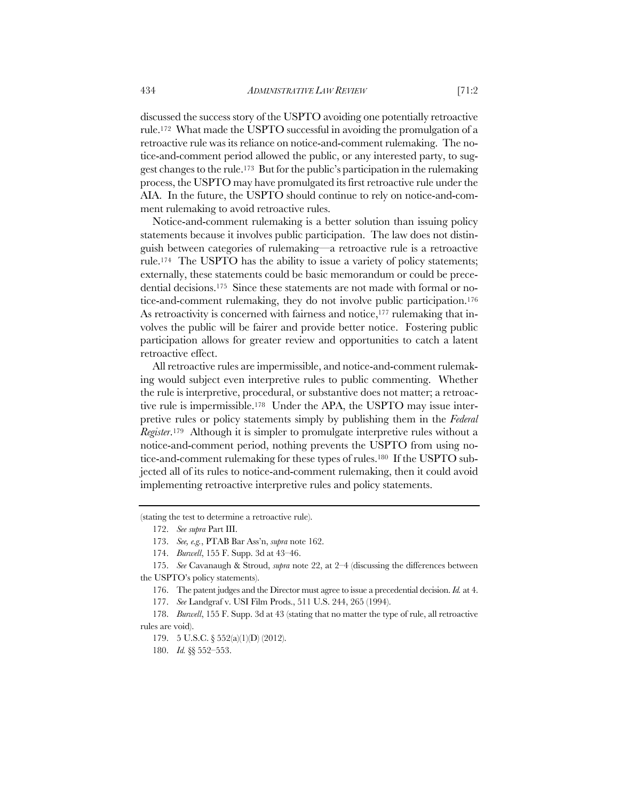discussed the success story of the USPTO avoiding one potentially retroactive rule.172 What made the USPTO successful in avoiding the promulgation of a retroactive rule was its reliance on notice-and-comment rulemaking. The notice-and-comment period allowed the public, or any interested party, to suggest changes to the rule.173 But for the public's participation in the rulemaking process, the USPTO may have promulgated its first retroactive rule under the AIA. In the future, the USPTO should continue to rely on notice-and-comment rulemaking to avoid retroactive rules.

Notice-and-comment rulemaking is a better solution than issuing policy statements because it involves public participation. The law does not distinguish between categories of rulemaking—a retroactive rule is a retroactive rule.174 The USPTO has the ability to issue a variety of policy statements; externally, these statements could be basic memorandum or could be precedential decisions.175 Since these statements are not made with formal or notice-and-comment rulemaking, they do not involve public participation.176 As retroactivity is concerned with fairness and notice,<sup>177</sup> rulemaking that involves the public will be fairer and provide better notice. Fostering public participation allows for greater review and opportunities to catch a latent retroactive effect.

All retroactive rules are impermissible, and notice-and-comment rulemaking would subject even interpretive rules to public commenting. Whether the rule is interpretive, procedural, or substantive does not matter; a retroactive rule is impermissible.178 Under the APA, the USPTO may issue interpretive rules or policy statements simply by publishing them in the *Federal Register*.179 Although it is simpler to promulgate interpretive rules without a notice-and-comment period, nothing prevents the USPTO from using notice-and-comment rulemaking for these types of rules.180 If the USPTO subjected all of its rules to notice-and-comment rulemaking, then it could avoid implementing retroactive interpretive rules and policy statements.

<sup>(</sup>stating the test to determine a retroactive rule).

<sup>172.</sup> *See supra* Part III.

<sup>173.</sup> *See, e.g.*, PTAB Bar Ass'n, *supra* note 162.

<sup>174.</sup> *Burwell*, 155 F. Supp. 3d at 43–46.

<sup>175.</sup> *See* Cavanaugh & Stroud, *supra* note 22, at 2–4 (discussing the differences between the USPTO's policy statements).

<sup>176.</sup> The patent judges and the Director must agree to issue a precedential decision. *Id.* at 4.

<sup>177.</sup> *See* Landgraf v. USI Film Prods., 511 U.S. 244, 265 (1994).

<sup>178.</sup> *Burwell*, 155 F. Supp. 3d at 43 (stating that no matter the type of rule, all retroactive rules are void).

<sup>179.</sup> 5 U.S.C. § 552(a)(1)(D) (2012).

<sup>180.</sup> *Id.* §§ 552–553.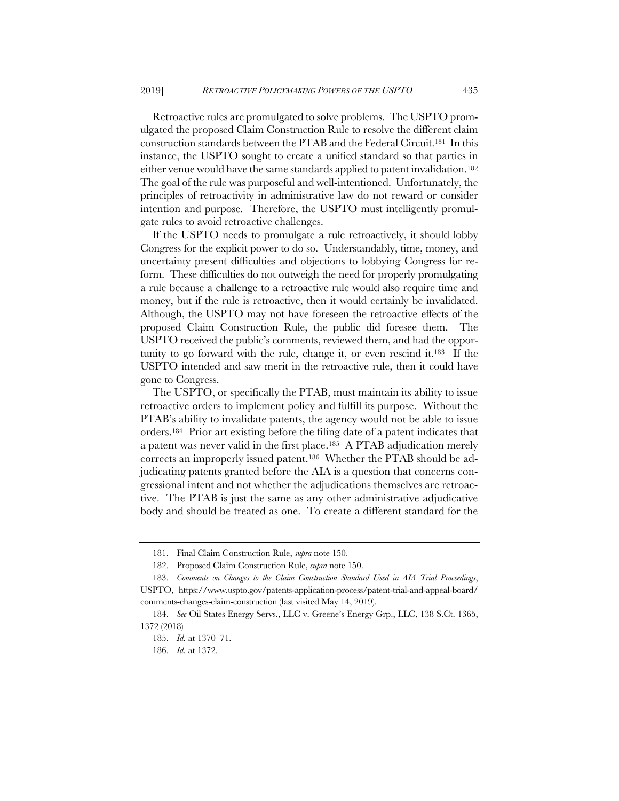Retroactive rules are promulgated to solve problems. The USPTO promulgated the proposed Claim Construction Rule to resolve the different claim construction standards between the PTAB and the Federal Circuit.181 In this instance, the USPTO sought to create a unified standard so that parties in either venue would have the same standards applied to patent invalidation.182 The goal of the rule was purposeful and well-intentioned. Unfortunately, the principles of retroactivity in administrative law do not reward or consider intention and purpose. Therefore, the USPTO must intelligently promulgate rules to avoid retroactive challenges.

If the USPTO needs to promulgate a rule retroactively, it should lobby Congress for the explicit power to do so. Understandably, time, money, and uncertainty present difficulties and objections to lobbying Congress for reform. These difficulties do not outweigh the need for properly promulgating a rule because a challenge to a retroactive rule would also require time and money, but if the rule is retroactive, then it would certainly be invalidated. Although, the USPTO may not have foreseen the retroactive effects of the proposed Claim Construction Rule, the public did foresee them. The USPTO received the public's comments, reviewed them, and had the opportunity to go forward with the rule, change it, or even rescind it.183 If the USPTO intended and saw merit in the retroactive rule, then it could have gone to Congress.

The USPTO, or specifically the PTAB, must maintain its ability to issue retroactive orders to implement policy and fulfill its purpose. Without the PTAB's ability to invalidate patents, the agency would not be able to issue orders.184 Prior art existing before the filing date of a patent indicates that a patent was never valid in the first place.185 A PTAB adjudication merely corrects an improperly issued patent.186 Whether the PTAB should be adjudicating patents granted before the AIA is a question that concerns congressional intent and not whether the adjudications themselves are retroactive. The PTAB is just the same as any other administrative adjudicative body and should be treated as one. To create a different standard for the

<sup>181.</sup> Final Claim Construction Rule, *supra* note 150.

<sup>182.</sup> Proposed Claim Construction Rule, *supra* note 150.

<sup>183.</sup> *Comments on Changes to the Claim Construction Standard Used in AIA Trial Proceedings*, USPTO, https://www.uspto.gov/patents-application-process/patent-trial-and-appeal-board/

comments-changes-claim-construction (last visited May 14, 2019).

<sup>184.</sup> *See* Oil States Energy Servs., LLC v. Greene's Energy Grp., LLC, 138 S.Ct. 1365, 1372 (2018)

<sup>185.</sup> *Id.* at 1370–71.

<sup>186.</sup> *Id.* at 1372.